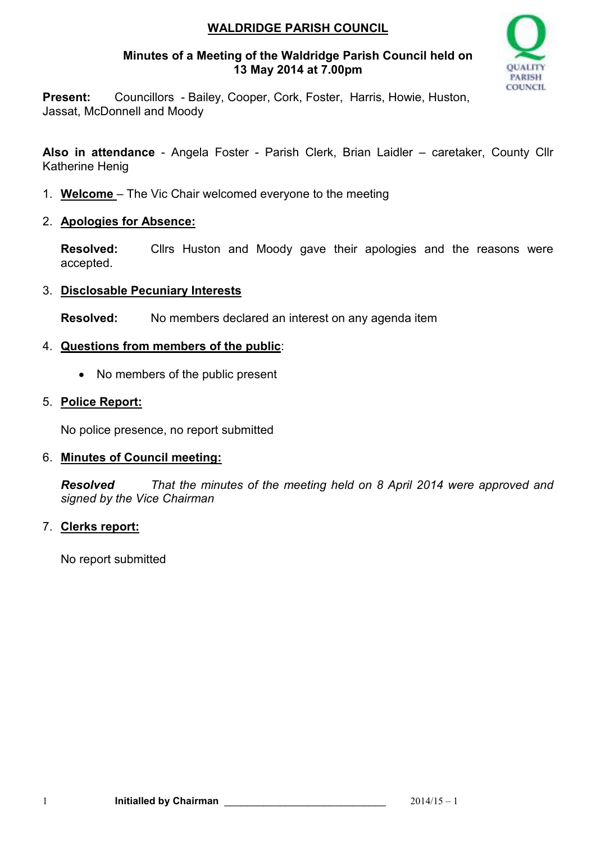# **WALDRIDGE PARISH COUNCIL**

### **Minutes of a Meeting of the Waldridge Parish Council held on 13 May 2014 at 7.00pm**



**Present:** Councillors - Bailey, Cooper, Cork, Foster, Harris, Howie, Huston, Jassat, McDonnell and Moody

**Also in attendance** - Angela Foster - Parish Clerk, Brian Laidler – caretaker, County Cllr Katherine Henig

- 1. **Welcome**  The Vic Chair welcomed everyone to the meeting
- 2. **Apologies for Absence:**

**Resolved:** Cllrs Huston and Moody gave their apologies and the reasons were accepted.

# 3. **Disclosable Pecuniary Interests**

**Resolved:** No members declared an interest on any agenda item

# 4. **Questions from members of the public**:

• No members of the public present

# 5. **Police Report:**

No police presence, no report submitted

# 6. **Minutes of Council meeting:**

*Resolved That the minutes of the meeting held on 8 April 2014 were approved and signed by the Vice Chairman* 

# 7. **Clerks report:**

No report submitted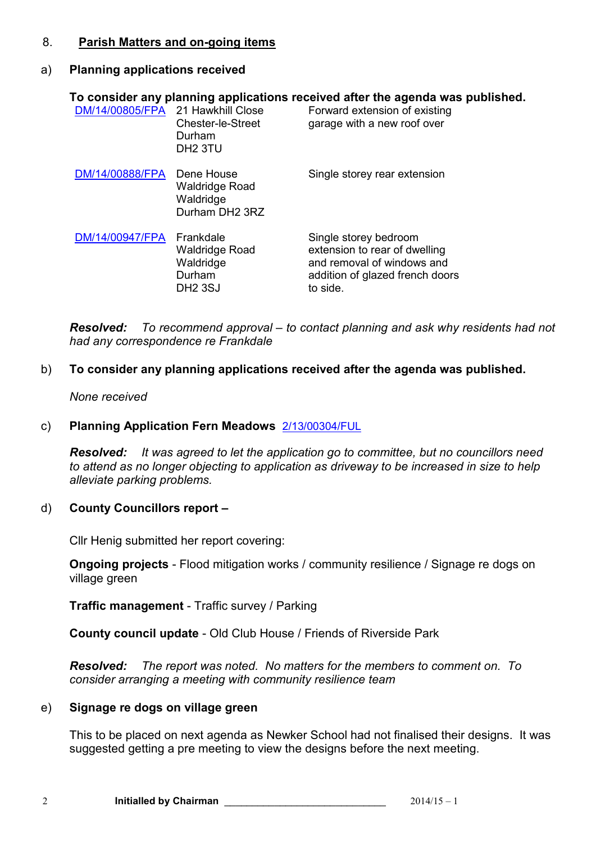#### 8. **Parish Matters and on-going items**

# a) **Planning applications received**

| DM/14/00805/FPA 21 Hawkhill Close | <b>Chester-le-Street</b><br>Durham<br>DH <sub>2</sub> 3TU            | To consider any planning applications received after the agenda was published.<br>Forward extension of existing<br>garage with a new roof over |
|-----------------------------------|----------------------------------------------------------------------|------------------------------------------------------------------------------------------------------------------------------------------------|
| DM/14/00888/FPA                   | Dene House<br><b>Waldridge Road</b><br>Waldridge<br>Durham DH2 3RZ   | Single storey rear extension                                                                                                                   |
| DM/14/00947/FPA                   | Frankdale<br>Waldridge Road<br>Waldridge<br>Durham<br><b>DH2 3SJ</b> | Single storey bedroom<br>extension to rear of dwelling<br>and removal of windows and<br>addition of glazed french doors<br>to side.            |

*Resolved: To recommend approval – to contact planning and ask why residents had not had any correspondence re Frankdale* 

#### b) **To consider any planning applications received after the agenda was published.**

#### *None received*

#### c) **Planning Application Fern Meadows** 2/13/00304/FUL

*Resolved: It was agreed to let the application go to committee, but no councillors need to attend as no longer objecting to application as driveway to be increased in size to help alleviate parking problems.* 

#### d) **County Councillors report –**

Cllr Henig submitted her report covering:

**Ongoing projects** - Flood mitigation works / community resilience / Signage re dogs on village green

**Traffic management** - Traffic survey / Parking

**County council update** - Old Club House / Friends of Riverside Park

*Resolved: The report was noted. No matters for the members to comment on. To consider arranging a meeting with community resilience team* 

# e) **Signage re dogs on village green**

This to be placed on next agenda as Newker School had not finalised their designs. It was suggested getting a pre meeting to view the designs before the next meeting.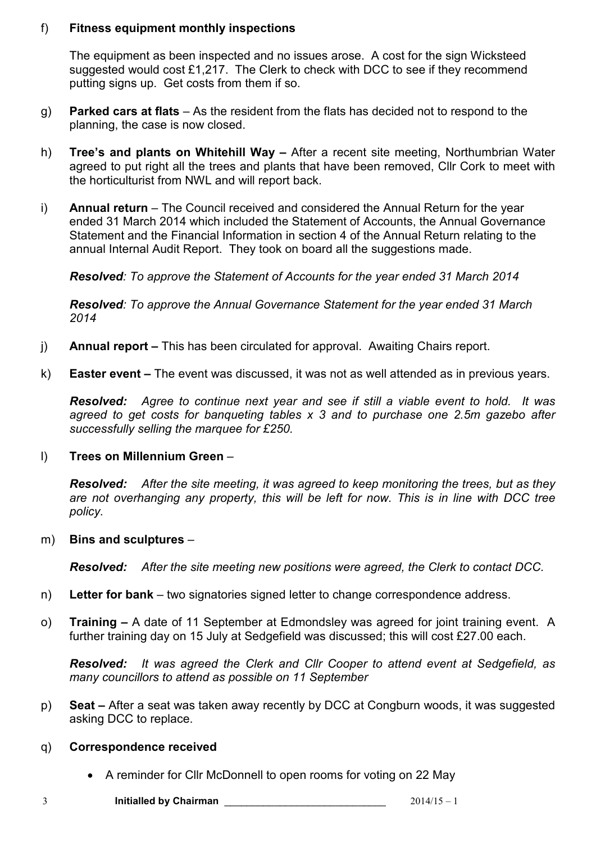# f) **Fitness equipment monthly inspections**

The equipment as been inspected and no issues arose. A cost for the sign Wicksteed suggested would cost £1,217. The Clerk to check with DCC to see if they recommend putting signs up. Get costs from them if so.

- g) **Parked cars at flats**  As the resident from the flats has decided not to respond to the planning, the case is now closed.
- h) **Tree's and plants on Whitehill Way** After a recent site meeting, Northumbrian Water agreed to put right all the trees and plants that have been removed, Cllr Cork to meet with the horticulturist from NWL and will report back.
- i) **Annual return**  The Council received and considered the Annual Return for the year ended 31 March 2014 which included the Statement of Accounts, the Annual Governance Statement and the Financial Information in section 4 of the Annual Return relating to the annual Internal Audit Report. They took on board all the suggestions made.

*Resolved: To approve the Statement of Accounts for the year ended 31 March 2014* 

*Resolved: To approve the Annual Governance Statement for the year ended 31 March 2014*

- j) **Annual report** This has been circulated for approval. Awaiting Chairs report.
- k) **Easter event** The event was discussed, it was not as well attended as in previous years.

*Resolved: Agree to continue next year and see if still a viable event to hold. It was agreed to get costs for banqueting tables x 3 and to purchase one 2.5m gazebo after successfully selling the marquee for £250.* 

#### l) **Trees on Millennium Green** –

*Resolved: After the site meeting, it was agreed to keep monitoring the trees, but as they are not overhanging any property, this will be left for now. This is in line with DCC tree policy.*

#### m) **Bins and sculptures** –

*Resolved: After the site meeting new positions were agreed, the Clerk to contact DCC.* 

- n) **Letter for bank** two signatories signed letter to change correspondence address.
- o) **Training** A date of 11 September at Edmondsley was agreed for joint training event. A further training day on 15 July at Sedgefield was discussed; this will cost £27.00 each.

*Resolved: It was agreed the Clerk and Cllr Cooper to attend event at Sedgefield, as many councillors to attend as possible on 11 September*

p) **Seat –** After a seat was taken away recently by DCC at Congburn woods, it was suggested asking DCC to replace.

#### q) **Correspondence received**

• A reminder for Cllr McDonnell to open rooms for voting on 22 May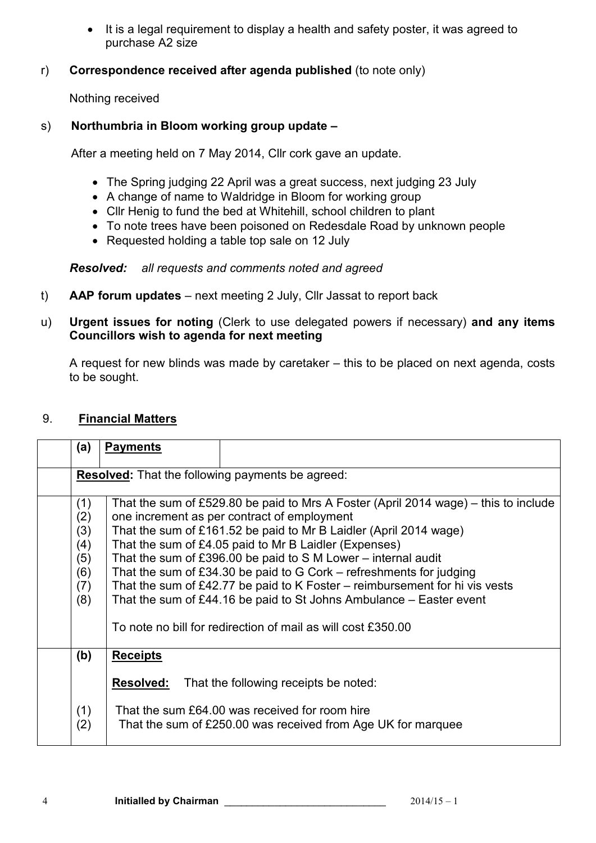• It is a legal requirement to display a health and safety poster, it was agreed to purchase A2 size

# r) **Correspondence received after agenda published** (to note only)

Nothing received

# s) **Northumbria in Bloom working group update –**

After a meeting held on 7 May 2014, Cllr cork gave an update.

- The Spring judging 22 April was a great success, next judging 23 July
- A change of name to Waldridge in Bloom for working group
- Cllr Henig to fund the bed at Whitehill, school children to plant
- To note trees have been poisoned on Redesdale Road by unknown people
- Requested holding a table top sale on 12 July

# *Resolved: all requests and comments noted and agreed*

t) **AAP forum updates** – next meeting 2 July, Cllr Jassat to report back

## u) **Urgent issues for noting** (Clerk to use delegated powers if necessary) **and any items Councillors wish to agenda for next meeting**

A request for new blinds was made by caretaker – this to be placed on next agenda, costs to be sought.

#### 9. **Financial Matters**

| (a)                                                     | <b>Payments</b>                                                                                                                                                                                                                                                                                                                                                                                                                                                                                                                                                                                                                    |                                                                                                                                                         |
|---------------------------------------------------------|------------------------------------------------------------------------------------------------------------------------------------------------------------------------------------------------------------------------------------------------------------------------------------------------------------------------------------------------------------------------------------------------------------------------------------------------------------------------------------------------------------------------------------------------------------------------------------------------------------------------------------|---------------------------------------------------------------------------------------------------------------------------------------------------------|
| <b>Resolved:</b> That the following payments be agreed: |                                                                                                                                                                                                                                                                                                                                                                                                                                                                                                                                                                                                                                    |                                                                                                                                                         |
| (1)<br>(2)<br>(3)<br>(4)<br>(5)<br>(6)<br>(7)<br>(8)    | That the sum of £529.80 be paid to Mrs A Foster (April 2014 wage) – this to include<br>one increment as per contract of employment<br>That the sum of £161.52 be paid to Mr B Laidler (April 2014 wage)<br>That the sum of £4.05 paid to Mr B Laidler (Expenses)<br>That the sum of £396.00 be paid to S M Lower – internal audit<br>That the sum of £34.30 be paid to $G$ Cork – refreshments for judging<br>That the sum of £42.77 be paid to K Foster – reimbursement for hi vis vests<br>That the sum of £44.16 be paid to St Johns Ambulance $-$ Easter event<br>To note no bill for redirection of mail as will cost £350.00 |                                                                                                                                                         |
| (b)<br>(1)<br>(2)                                       | <b>Receipts</b><br><b>Resolved:</b>                                                                                                                                                                                                                                                                                                                                                                                                                                                                                                                                                                                                | That the following receipts be noted:<br>That the sum £64.00 was received for room hire<br>That the sum of £250.00 was received from Age UK for marquee |